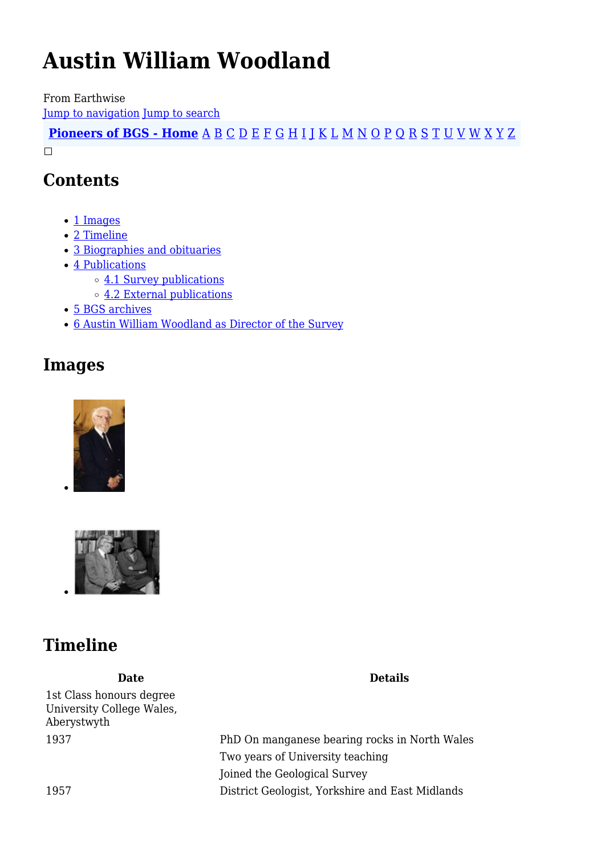# **Austin William Woodland**

From Earthwise [Jump to navigation](#page--1-0) [Jump to search](#page--1-0)

**[Pioneers of BGS - Home](http://earthwise.bgs.ac.uk/index.php/Pioneers_of_the_British_Geological_Survey)** [A](http://earthwise.bgs.ac.uk/index.php/Pioneers_of_the_British_Geological_Survey#A) [B](http://earthwise.bgs.ac.uk/index.php/Pioneers_of_the_British_Geological_Survey#B) [C](http://earthwise.bgs.ac.uk/index.php/Pioneers_of_the_British_Geological_Survey#C) [D](http://earthwise.bgs.ac.uk/index.php/Pioneers_of_the_British_Geological_Survey#D) [E](http://earthwise.bgs.ac.uk/index.php/Pioneers_of_the_British_Geological_Survey#E) [F](http://earthwise.bgs.ac.uk/index.php/Pioneers_of_the_British_Geological_Survey#F) [G](http://earthwise.bgs.ac.uk/index.php/Pioneers_of_the_British_Geological_Survey#G) [H](http://earthwise.bgs.ac.uk/index.php/Pioneers_of_the_British_Geological_Survey#H) [I](http://earthwise.bgs.ac.uk/index.php/Pioneers_of_the_British_Geological_Survey#I) [J](http://earthwise.bgs.ac.uk/index.php/Pioneers_of_the_British_Geological_Survey#J) [K](http://earthwise.bgs.ac.uk/index.php/Pioneers_of_the_British_Geological_Survey#K) [L](http://earthwise.bgs.ac.uk/index.php/Pioneers_of_the_British_Geological_Survey#L) [M](http://earthwise.bgs.ac.uk/index.php/Pioneers_of_the_British_Geological_Survey#M) [N](http://earthwise.bgs.ac.uk/index.php/Pioneers_of_the_British_Geological_Survey#N) [O](http://earthwise.bgs.ac.uk/index.php/Pioneers_of_the_British_Geological_Survey#O) [P](http://earthwise.bgs.ac.uk/index.php/Pioneers_of_the_British_Geological_Survey#P) [Q](http://earthwise.bgs.ac.uk/index.php/Pioneers_of_the_British_Geological_Survey#Q) [R](http://earthwise.bgs.ac.uk/index.php/Pioneers_of_the_British_Geological_Survey#R) [S](http://earthwise.bgs.ac.uk/index.php/Pioneers_of_the_British_Geological_Survey#S) [T](http://earthwise.bgs.ac.uk/index.php/Pioneers_of_the_British_Geological_Survey#T) [U](http://earthwise.bgs.ac.uk/index.php/Pioneers_of_the_British_Geological_Survey#U) [V](http://earthwise.bgs.ac.uk/index.php/Pioneers_of_the_British_Geological_Survey#V) [W](http://earthwise.bgs.ac.uk/index.php/Pioneers_of_the_British_Geological_Survey#W) [X](http://earthwise.bgs.ac.uk/index.php/Pioneers_of_the_British_Geological_Survey#X) [Y](http://earthwise.bgs.ac.uk/index.php/Pioneers_of_the_British_Geological_Survey#Y) [Z](http://earthwise.bgs.ac.uk/index.php/Pioneers_of_the_British_Geological_Survey#Z)  $\Box$ 

# **Contents**

- [1](#page--1-0) [Images](#page--1-0)
- [2](#page--1-0) [Timeline](#page--1-0)
- [3](#page--1-0) [Biographies and obituaries](#page--1-0)
- [4](#page--1-0) [Publications](#page--1-0)
	- [4.1](#page--1-0) [Survey publications](#page--1-0)
		- [4.2](#page--1-0) [External publications](#page--1-0)
- [5](#page--1-0) [BGS archives](#page--1-0)
- [6](#page--1-0) [Austin William Woodland as Director of the Survey](#page--1-0)

# **Images**





# **Timeline**

1st Class honours degree University College Wales, Aberystwyth

**Date Details**

1937 PhD On manganese bearing rocks in North Wales Two years of University teaching Joined the Geological Survey 1957 District Geologist, Yorkshire and East Midlands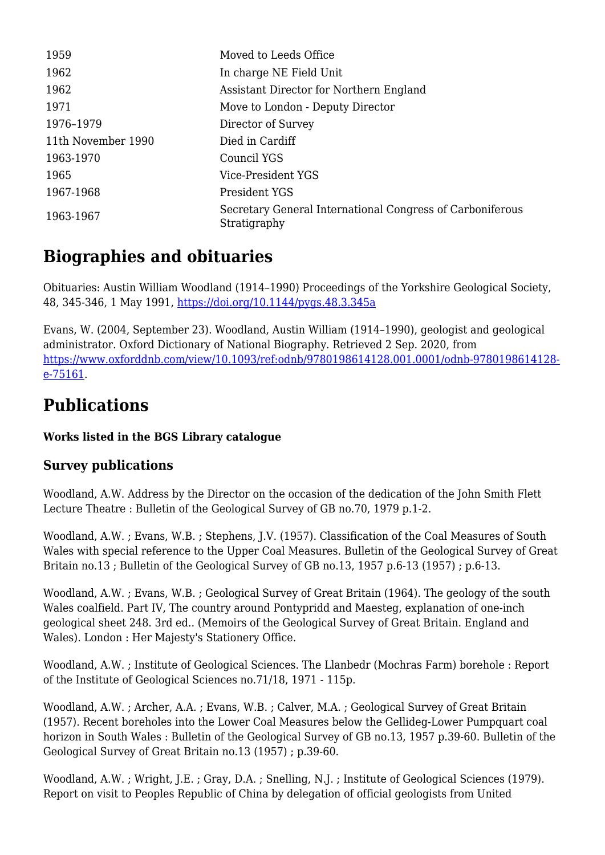| 1959               | Moved to Leeds Office                                                     |
|--------------------|---------------------------------------------------------------------------|
| 1962               | In charge NE Field Unit                                                   |
| 1962               | Assistant Director for Northern England                                   |
| 1971               | Move to London - Deputy Director                                          |
| 1976-1979          | Director of Survey                                                        |
| 11th November 1990 | Died in Cardiff                                                           |
| 1963-1970          | Council YGS                                                               |
| 1965               | Vice-President YGS                                                        |
| 1967-1968          | President YGS                                                             |
| 1963-1967          | Secretary General International Congress of Carboniferous<br>Stratigraphy |

# **Biographies and obituaries**

Obituaries: Austin William Woodland (1914–1990) Proceedings of the Yorkshire Geological Society, 48, 345-346, 1 May 1991,<https://doi.org/10.1144/pygs.48.3.345a>

Evans, W. (2004, September 23). Woodland, Austin William (1914–1990), geologist and geological administrator. Oxford Dictionary of National Biography. Retrieved 2 Sep. 2020, from [https://www.oxforddnb.com/view/10.1093/ref:odnb/9780198614128.001.0001/odnb-9780198614128](https://www.oxforddnb.com/view/10.1093/ref:odnb/9780198614128.001.0001/odnb-9780198614128-e-75161) [e-75161](https://www.oxforddnb.com/view/10.1093/ref:odnb/9780198614128.001.0001/odnb-9780198614128-e-75161).

# **Publications**

#### **Works listed in the BGS Library catalogue**

# **Survey publications**

Woodland, A.W. Address by the Director on the occasion of the dedication of the John Smith Flett Lecture Theatre : Bulletin of the Geological Survey of GB no.70, 1979 p.1-2.

Woodland, A.W. ; Evans, W.B. ; Stephens, J.V. (1957). Classification of the Coal Measures of South Wales with special reference to the Upper Coal Measures. Bulletin of the Geological Survey of Great Britain no.13 ; Bulletin of the Geological Survey of GB no.13, 1957 p.6-13 (1957) ; p.6-13.

Woodland, A.W. ; Evans, W.B. ; Geological Survey of Great Britain (1964). The geology of the south Wales coalfield. Part IV, The country around Pontypridd and Maesteg, explanation of one-inch geological sheet 248. 3rd ed.. (Memoirs of the Geological Survey of Great Britain. England and Wales). London : Her Majesty's Stationery Office.

Woodland, A.W. ; Institute of Geological Sciences. The Llanbedr (Mochras Farm) borehole : Report of the Institute of Geological Sciences no.71/18, 1971 - 115p.

Woodland, A.W. ; Archer, A.A. ; Evans, W.B. ; Calver, M.A. ; Geological Survey of Great Britain (1957). Recent boreholes into the Lower Coal Measures below the Gellideg-Lower Pumpquart coal horizon in South Wales : Bulletin of the Geological Survey of GB no.13, 1957 p.39-60. Bulletin of the Geological Survey of Great Britain no.13 (1957) ; p.39-60.

Woodland, A.W. ; Wright, J.E. ; Gray, D.A. ; Snelling, N.J. ; Institute of Geological Sciences (1979). Report on visit to Peoples Republic of China by delegation of official geologists from United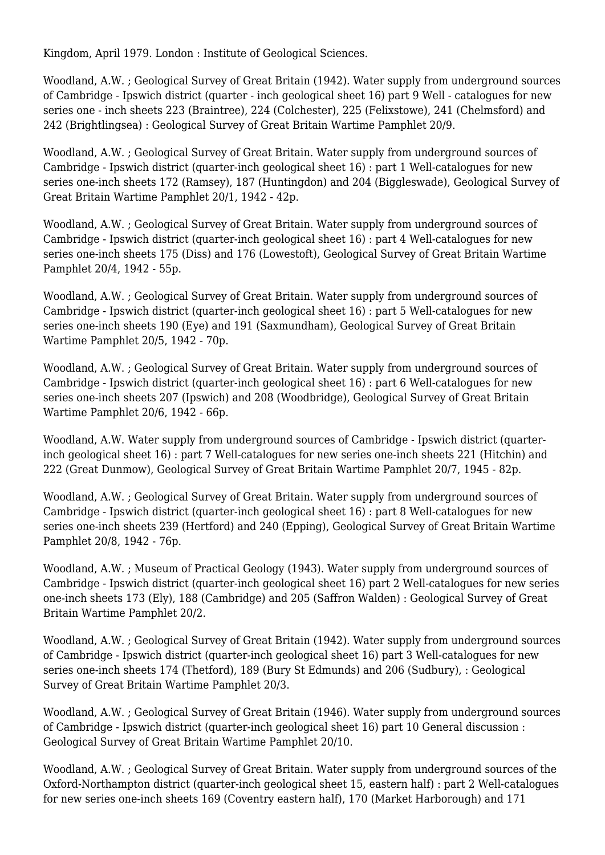Kingdom, April 1979. London : Institute of Geological Sciences.

Woodland, A.W. ; Geological Survey of Great Britain (1942). Water supply from underground sources of Cambridge - Ipswich district (quarter - inch geological sheet 16) part 9 Well - catalogues for new series one - inch sheets 223 (Braintree), 224 (Colchester), 225 (Felixstowe), 241 (Chelmsford) and 242 (Brightlingsea) : Geological Survey of Great Britain Wartime Pamphlet 20/9.

Woodland, A.W. ; Geological Survey of Great Britain. Water supply from underground sources of Cambridge - Ipswich district (quarter-inch geological sheet 16) : part 1 Well-catalogues for new series one-inch sheets 172 (Ramsey), 187 (Huntingdon) and 204 (Biggleswade), Geological Survey of Great Britain Wartime Pamphlet 20/1, 1942 - 42p.

Woodland, A.W. ; Geological Survey of Great Britain. Water supply from underground sources of Cambridge - Ipswich district (quarter-inch geological sheet 16) : part 4 Well-catalogues for new series one-inch sheets 175 (Diss) and 176 (Lowestoft), Geological Survey of Great Britain Wartime Pamphlet 20/4, 1942 - 55p.

Woodland, A.W. ; Geological Survey of Great Britain. Water supply from underground sources of Cambridge - Ipswich district (quarter-inch geological sheet 16) : part 5 Well-catalogues for new series one-inch sheets 190 (Eye) and 191 (Saxmundham), Geological Survey of Great Britain Wartime Pamphlet 20/5, 1942 - 70p.

Woodland, A.W. ; Geological Survey of Great Britain. Water supply from underground sources of Cambridge - Ipswich district (quarter-inch geological sheet 16) : part 6 Well-catalogues for new series one-inch sheets 207 (Ipswich) and 208 (Woodbridge), Geological Survey of Great Britain Wartime Pamphlet 20/6, 1942 - 66p.

Woodland, A.W. Water supply from underground sources of Cambridge - Ipswich district (quarterinch geological sheet 16) : part 7 Well-catalogues for new series one-inch sheets 221 (Hitchin) and 222 (Great Dunmow), Geological Survey of Great Britain Wartime Pamphlet 20/7, 1945 - 82p.

Woodland, A.W. ; Geological Survey of Great Britain. Water supply from underground sources of Cambridge - Ipswich district (quarter-inch geological sheet 16) : part 8 Well-catalogues for new series one-inch sheets 239 (Hertford) and 240 (Epping), Geological Survey of Great Britain Wartime Pamphlet 20/8, 1942 - 76p.

Woodland, A.W. ; Museum of Practical Geology (1943). Water supply from underground sources of Cambridge - Ipswich district (quarter-inch geological sheet 16) part 2 Well-catalogues for new series one-inch sheets 173 (Ely), 188 (Cambridge) and 205 (Saffron Walden) : Geological Survey of Great Britain Wartime Pamphlet 20/2.

Woodland, A.W. ; Geological Survey of Great Britain (1942). Water supply from underground sources of Cambridge - Ipswich district (quarter-inch geological sheet 16) part 3 Well-catalogues for new series one-inch sheets 174 (Thetford), 189 (Bury St Edmunds) and 206 (Sudbury), : Geological Survey of Great Britain Wartime Pamphlet 20/3.

Woodland, A.W. ; Geological Survey of Great Britain (1946). Water supply from underground sources of Cambridge - Ipswich district (quarter-inch geological sheet 16) part 10 General discussion : Geological Survey of Great Britain Wartime Pamphlet 20/10.

Woodland, A.W. ; Geological Survey of Great Britain. Water supply from underground sources of the Oxford-Northampton district (quarter-inch geological sheet 15, eastern half) : part 2 Well-catalogues for new series one-inch sheets 169 (Coventry eastern half), 170 (Market Harborough) and 171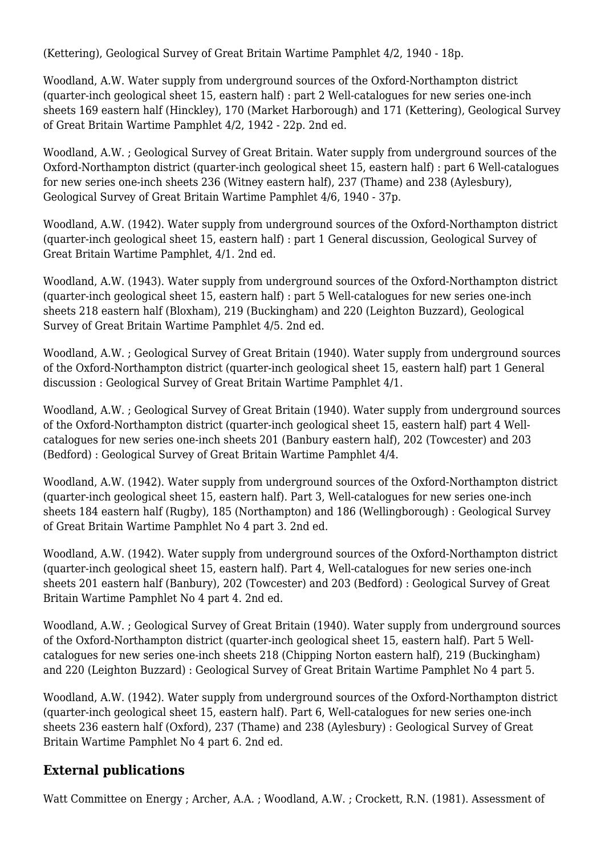(Kettering), Geological Survey of Great Britain Wartime Pamphlet 4/2, 1940 - 18p.

Woodland, A.W. Water supply from underground sources of the Oxford-Northampton district (quarter-inch geological sheet 15, eastern half) : part 2 Well-catalogues for new series one-inch sheets 169 eastern half (Hinckley), 170 (Market Harborough) and 171 (Kettering), Geological Survey of Great Britain Wartime Pamphlet 4/2, 1942 - 22p. 2nd ed.

Woodland, A.W. ; Geological Survey of Great Britain. Water supply from underground sources of the Oxford-Northampton district (quarter-inch geological sheet 15, eastern half) : part 6 Well-catalogues for new series one-inch sheets 236 (Witney eastern half), 237 (Thame) and 238 (Aylesbury), Geological Survey of Great Britain Wartime Pamphlet 4/6, 1940 - 37p.

Woodland, A.W. (1942). Water supply from underground sources of the Oxford-Northampton district (quarter-inch geological sheet 15, eastern half) : part 1 General discussion, Geological Survey of Great Britain Wartime Pamphlet, 4/1. 2nd ed.

Woodland, A.W. (1943). Water supply from underground sources of the Oxford-Northampton district (quarter-inch geological sheet 15, eastern half) : part 5 Well-catalogues for new series one-inch sheets 218 eastern half (Bloxham), 219 (Buckingham) and 220 (Leighton Buzzard), Geological Survey of Great Britain Wartime Pamphlet 4/5. 2nd ed.

Woodland, A.W. ; Geological Survey of Great Britain (1940). Water supply from underground sources of the Oxford-Northampton district (quarter-inch geological sheet 15, eastern half) part 1 General discussion : Geological Survey of Great Britain Wartime Pamphlet 4/1.

Woodland, A.W. ; Geological Survey of Great Britain (1940). Water supply from underground sources of the Oxford-Northampton district (quarter-inch geological sheet 15, eastern half) part 4 Wellcatalogues for new series one-inch sheets 201 (Banbury eastern half), 202 (Towcester) and 203 (Bedford) : Geological Survey of Great Britain Wartime Pamphlet 4/4.

Woodland, A.W. (1942). Water supply from underground sources of the Oxford-Northampton district (quarter-inch geological sheet 15, eastern half). Part 3, Well-catalogues for new series one-inch sheets 184 eastern half (Rugby), 185 (Northampton) and 186 (Wellingborough) : Geological Survey of Great Britain Wartime Pamphlet No 4 part 3. 2nd ed.

Woodland, A.W. (1942). Water supply from underground sources of the Oxford-Northampton district (quarter-inch geological sheet 15, eastern half). Part 4, Well-catalogues for new series one-inch sheets 201 eastern half (Banbury), 202 (Towcester) and 203 (Bedford) : Geological Survey of Great Britain Wartime Pamphlet No 4 part 4. 2nd ed.

Woodland, A.W. ; Geological Survey of Great Britain (1940). Water supply from underground sources of the Oxford-Northampton district (quarter-inch geological sheet 15, eastern half). Part 5 Wellcatalogues for new series one-inch sheets 218 (Chipping Norton eastern half), 219 (Buckingham) and 220 (Leighton Buzzard) : Geological Survey of Great Britain Wartime Pamphlet No 4 part 5.

Woodland, A.W. (1942). Water supply from underground sources of the Oxford-Northampton district (quarter-inch geological sheet 15, eastern half). Part 6, Well-catalogues for new series one-inch sheets 236 eastern half (Oxford), 237 (Thame) and 238 (Aylesbury) : Geological Survey of Great Britain Wartime Pamphlet No 4 part 6. 2nd ed.

# **External publications**

Watt Committee on Energy ; Archer, A.A. ; Woodland, A.W. ; Crockett, R.N. (1981). Assessment of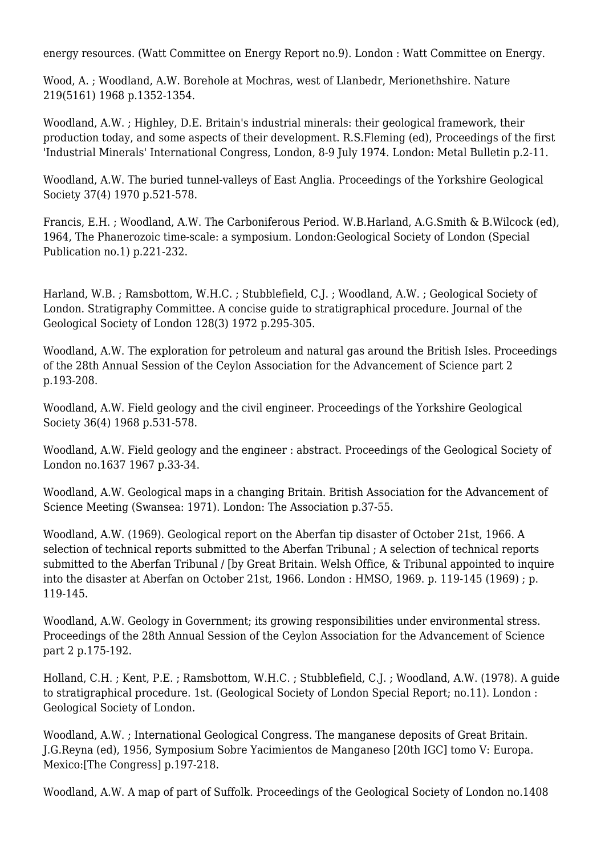energy resources. (Watt Committee on Energy Report no.9). London : Watt Committee on Energy.

Wood, A. ; Woodland, A.W. Borehole at Mochras, west of Llanbedr, Merionethshire. Nature 219(5161) 1968 p.1352-1354.

Woodland, A.W. ; Highley, D.E. Britain's industrial minerals: their geological framework, their production today, and some aspects of their development. R.S.Fleming (ed), Proceedings of the first 'Industrial Minerals' International Congress, London, 8-9 July 1974. London: Metal Bulletin p.2-11.

Woodland, A.W. The buried tunnel-valleys of East Anglia. Proceedings of the Yorkshire Geological Society 37(4) 1970 p.521-578.

Francis, E.H. ; Woodland, A.W. The Carboniferous Period. W.B.Harland, A.G.Smith & B.Wilcock (ed), 1964, The Phanerozoic time-scale: a symposium. London:Geological Society of London (Special Publication no.1) p.221-232.

Harland, W.B. ; Ramsbottom, W.H.C. ; Stubblefield, C.J. ; Woodland, A.W. ; Geological Society of London. Stratigraphy Committee. A concise guide to stratigraphical procedure. Journal of the Geological Society of London 128(3) 1972 p.295-305.

Woodland, A.W. The exploration for petroleum and natural gas around the British Isles. Proceedings of the 28th Annual Session of the Ceylon Association for the Advancement of Science part 2 p.193-208.

Woodland, A.W. Field geology and the civil engineer. Proceedings of the Yorkshire Geological Society 36(4) 1968 p.531-578.

Woodland, A.W. Field geology and the engineer : abstract. Proceedings of the Geological Society of London no.1637 1967 p.33-34.

Woodland, A.W. Geological maps in a changing Britain. British Association for the Advancement of Science Meeting (Swansea: 1971). London: The Association p.37-55.

Woodland, A.W. (1969). Geological report on the Aberfan tip disaster of October 21st, 1966. A selection of technical reports submitted to the Aberfan Tribunal ; A selection of technical reports submitted to the Aberfan Tribunal / [by Great Britain. Welsh Office, & Tribunal appointed to inquire into the disaster at Aberfan on October 21st, 1966. London : HMSO, 1969. p. 119-145 (1969) ; p. 119-145.

Woodland, A.W. Geology in Government; its growing responsibilities under environmental stress. Proceedings of the 28th Annual Session of the Ceylon Association for the Advancement of Science part 2 p.175-192.

Holland, C.H. ; Kent, P.E. ; Ramsbottom, W.H.C. ; Stubblefield, C.J. ; Woodland, A.W. (1978). A guide to stratigraphical procedure. 1st. (Geological Society of London Special Report; no.11). London : Geological Society of London.

Woodland, A.W. ; International Geological Congress. The manganese deposits of Great Britain. J.G.Reyna (ed), 1956, Symposium Sobre Yacimientos de Manganeso [20th IGC] tomo V: Europa. Mexico:[The Congress] p.197-218.

Woodland, A.W. A map of part of Suffolk. Proceedings of the Geological Society of London no.1408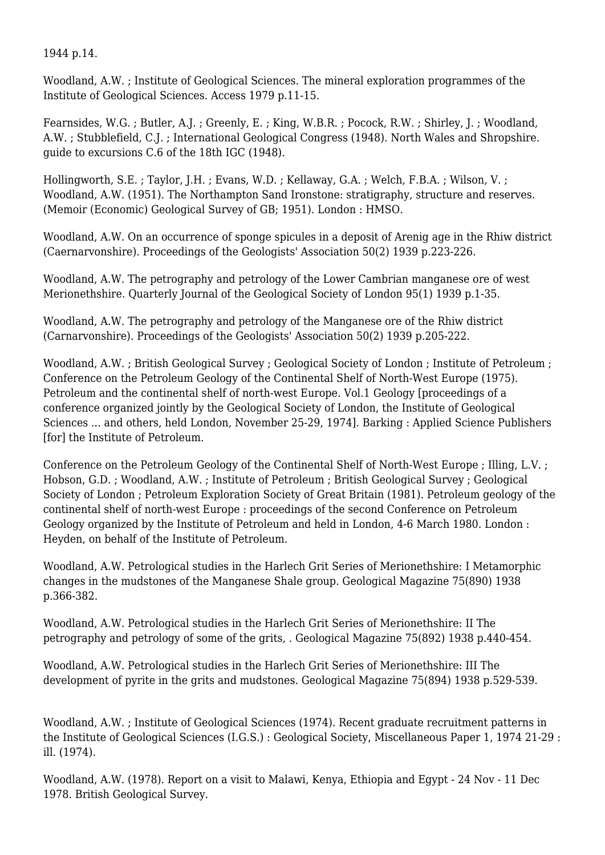1944 p.14.

Woodland, A.W. ; Institute of Geological Sciences. The mineral exploration programmes of the Institute of Geological Sciences. Access 1979 p.11-15.

Fearnsides, W.G. ; Butler, A.J. ; Greenly, E. ; King, W.B.R. ; Pocock, R.W. ; Shirley, J. ; Woodland, A.W. ; Stubblefield, C.J. ; International Geological Congress (1948). North Wales and Shropshire. guide to excursions C.6 of the 18th IGC (1948).

Hollingworth, S.E. ; Taylor, J.H. ; Evans, W.D. ; Kellaway, G.A. ; Welch, F.B.A. ; Wilson, V. ; Woodland, A.W. (1951). The Northampton Sand Ironstone: stratigraphy, structure and reserves. (Memoir (Economic) Geological Survey of GB; 1951). London : HMSO.

Woodland, A.W. On an occurrence of sponge spicules in a deposit of Arenig age in the Rhiw district (Caernarvonshire). Proceedings of the Geologists' Association 50(2) 1939 p.223-226.

Woodland, A.W. The petrography and petrology of the Lower Cambrian manganese ore of west Merionethshire. Quarterly Journal of the Geological Society of London 95(1) 1939 p.1-35.

Woodland, A.W. The petrography and petrology of the Manganese ore of the Rhiw district (Carnarvonshire). Proceedings of the Geologists' Association 50(2) 1939 p.205-222.

Woodland, A.W. ; British Geological Survey ; Geological Society of London ; Institute of Petroleum ; Conference on the Petroleum Geology of the Continental Shelf of North-West Europe (1975). Petroleum and the continental shelf of north-west Europe. Vol.1 Geology [proceedings of a conference organized jointly by the Geological Society of London, the Institute of Geological Sciences ... and others, held London, November 25-29, 1974]. Barking : Applied Science Publishers [for] the Institute of Petroleum.

Conference on the Petroleum Geology of the Continental Shelf of North-West Europe ; Illing, L.V. ; Hobson, G.D. ; Woodland, A.W. ; Institute of Petroleum ; British Geological Survey ; Geological Society of London ; Petroleum Exploration Society of Great Britain (1981). Petroleum geology of the continental shelf of north-west Europe : proceedings of the second Conference on Petroleum Geology organized by the Institute of Petroleum and held in London, 4-6 March 1980. London : Heyden, on behalf of the Institute of Petroleum.

Woodland, A.W. Petrological studies in the Harlech Grit Series of Merionethshire: I Metamorphic changes in the mudstones of the Manganese Shale group. Geological Magazine 75(890) 1938 p.366-382.

Woodland, A.W. Petrological studies in the Harlech Grit Series of Merionethshire: II The petrography and petrology of some of the grits, . Geological Magazine 75(892) 1938 p.440-454.

Woodland, A.W. Petrological studies in the Harlech Grit Series of Merionethshire: III The development of pyrite in the grits and mudstones. Geological Magazine 75(894) 1938 p.529-539.

Woodland, A.W. ; Institute of Geological Sciences (1974). Recent graduate recruitment patterns in the Institute of Geological Sciences (I.G.S.) : Geological Society, Miscellaneous Paper 1, 1974 21-29 : ill. (1974).

Woodland, A.W. (1978). Report on a visit to Malawi, Kenya, Ethiopia and Egypt - 24 Nov - 11 Dec 1978. British Geological Survey.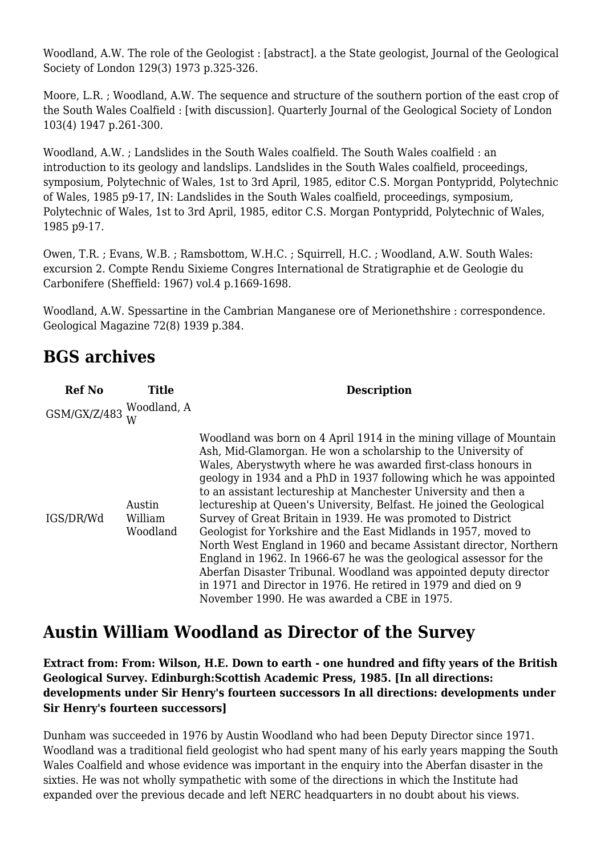Woodland, A.W. The role of the Geologist : [abstract]. a the State geologist, Journal of the Geological Society of London 129(3) 1973 p.325-326.

Moore, L.R. ; Woodland, A.W. The sequence and structure of the southern portion of the east crop of the South Wales Coalfield : [with discussion]. Quarterly Journal of the Geological Society of London 103(4) 1947 p.261-300.

Woodland, A.W. ; Landslides in the South Wales coalfield. The South Wales coalfield : an introduction to its geology and landslips. Landslides in the South Wales coalfield, proceedings, symposium, Polytechnic of Wales, 1st to 3rd April, 1985, editor C.S. Morgan Pontypridd, Polytechnic of Wales, 1985 p9-17, IN: Landslides in the South Wales coalfield, proceedings, symposium, Polytechnic of Wales, 1st to 3rd April, 1985, editor C.S. Morgan Pontypridd, Polytechnic of Wales, 1985 p9-17.

Owen, T.R. ; Evans, W.B. ; Ramsbottom, W.H.C. ; Squirrell, H.C. ; Woodland, A.W. South Wales: excursion 2. Compte Rendu Sixieme Congres International de Stratigraphie et de Geologie du Carbonifere (Sheffield: 1967) vol.4 p.1669-1698.

Woodland, A.W. Spessartine in the Cambrian Manganese ore of Merionethshire : correspondence. Geological Magazine 72(8) 1939 p.384.

# **BGS archives**

| <b>Ref No</b>            | <b>Title</b>                  | <b>Description</b>                                                                                                                                                                                                                                                                                                                                                                                                                                                                                                                                                                                                                                                                                                                                                                                                                                                                            |
|--------------------------|-------------------------------|-----------------------------------------------------------------------------------------------------------------------------------------------------------------------------------------------------------------------------------------------------------------------------------------------------------------------------------------------------------------------------------------------------------------------------------------------------------------------------------------------------------------------------------------------------------------------------------------------------------------------------------------------------------------------------------------------------------------------------------------------------------------------------------------------------------------------------------------------------------------------------------------------|
| GSM/GX/Z/483 Woodland, A |                               |                                                                                                                                                                                                                                                                                                                                                                                                                                                                                                                                                                                                                                                                                                                                                                                                                                                                                               |
| IGS/DR/Wd                | Austin<br>William<br>Woodland | Woodland was born on 4 April 1914 in the mining village of Mountain<br>Ash, Mid-Glamorgan. He won a scholarship to the University of<br>Wales, Aberystwyth where he was awarded first-class honours in<br>geology in 1934 and a PhD in 1937 following which he was appointed<br>to an assistant lectureship at Manchester University and then a<br>lectureship at Queen's University, Belfast. He joined the Geological<br>Survey of Great Britain in 1939. He was promoted to District<br>Geologist for Yorkshire and the East Midlands in 1957, moved to<br>North West England in 1960 and became Assistant director, Northern<br>England in 1962. In 1966-67 he was the geological assessor for the<br>Aberfan Disaster Tribunal. Woodland was appointed deputy director<br>in 1971 and Director in 1976. He retired in 1979 and died on 9<br>November 1990. He was awarded a CBE in 1975. |

# **Austin William Woodland as Director of the Survey**

**Extract from: From: Wilson, H.E. Down to earth - one hundred and fifty years of the British Geological Survey. Edinburgh:Scottish Academic Press, 1985. [In all directions: developments under Sir Henry's fourteen successors In all directions: developments under Sir Henry's fourteen successors]**

Dunham was succeeded in 1976 by Austin Woodland who had been Deputy Director since 1971. Woodland was a traditional field geologist who had spent many of his early years mapping the South Wales Coalfield and whose evidence was important in the enquiry into the Aberfan disaster in the sixties. He was not wholly sympathetic with some of the directions in which the Institute had expanded over the previous decade and left NERC headquarters in no doubt about his views.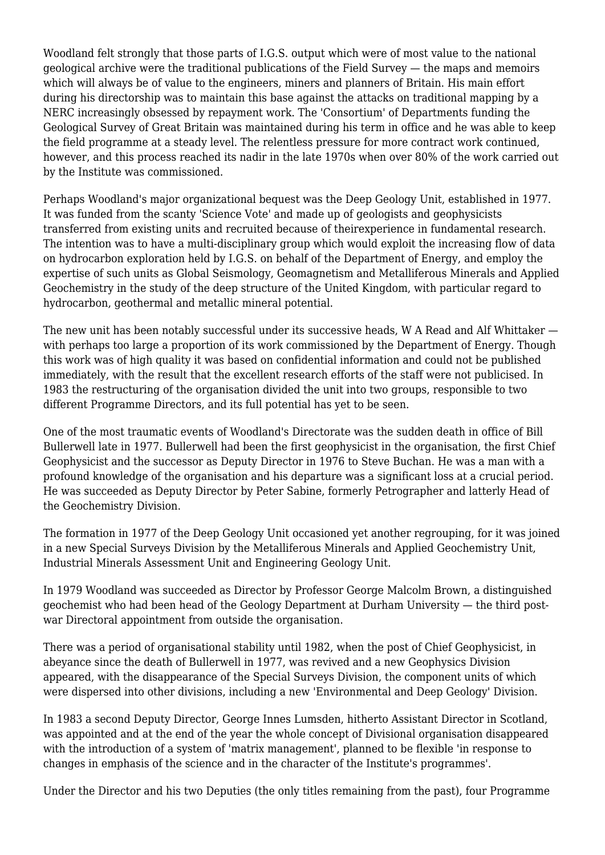Woodland felt strongly that those parts of I.G.S. output which were of most value to the national geological archive were the traditional publications of the Field Survey — the maps and memoirs which will always be of value to the engineers, miners and planners of Britain. His main effort during his directorship was to maintain this base against the attacks on traditional mapping by a NERC increasingly obsessed by repayment work. The 'Consortium' of Departments funding the Geological Survey of Great Britain was maintained during his term in office and he was able to keep the field programme at a steady level. The relentless pressure for more contract work continued, however, and this process reached its nadir in the late 1970s when over 80% of the work carried out by the Institute was commissioned.

Perhaps Woodland's major organizational bequest was the Deep Geology Unit, established in 1977. It was funded from the scanty 'Science Vote' and made up of geologists and geophysicists transferred from existing units and recruited because of theirexperience in fundamental research. The intention was to have a multi-disciplinary group which would exploit the increasing flow of data on hydrocarbon exploration held by I.G.S. on behalf of the Department of Energy, and employ the expertise of such units as Global Seismology, Geomagnetism and Metalliferous Minerals and Applied Geochemistry in the study of the deep structure of the United Kingdom, with particular regard to hydrocarbon, geothermal and metallic mineral potential.

The new unit has been notably successful under its successive heads, W A Read and Alf Whittaker with perhaps too large a proportion of its work commissioned by the Department of Energy. Though this work was of high quality it was based on confidential information and could not be published immediately, with the result that the excellent research efforts of the staff were not publicised. In 1983 the restructuring of the organisation divided the unit into two groups, responsible to two different Programme Directors, and its full potential has yet to be seen.

One of the most traumatic events of Woodland's Directorate was the sudden death in office of Bill Bullerwell late in 1977. Bullerwell had been the first geophysicist in the organisation, the first Chief Geophysicist and the successor as Deputy Director in 1976 to Steve Buchan. He was a man with a profound knowledge of the organisation and his departure was a significant loss at a crucial period. He was succeeded as Deputy Director by Peter Sabine, formerly Petrographer and latterly Head of the Geochemistry Division.

The formation in 1977 of the Deep Geology Unit occasioned yet another regrouping, for it was joined in a new Special Surveys Division by the Metalliferous Minerals and Applied Geochemistry Unit, Industrial Minerals Assessment Unit and Engineering Geology Unit.

In 1979 Woodland was succeeded as Director by Professor George Malcolm Brown, a distinguished geochemist who had been head of the Geology Department at Durham University — the third postwar Directoral appointment from outside the organisation.

There was a period of organisational stability until 1982, when the post of Chief Geophysicist, in abeyance since the death of Bullerwell in 1977, was revived and a new Geophysics Division appeared, with the disappearance of the Special Surveys Division, the component units of which were dispersed into other divisions, including a new 'Environmental and Deep Geology' Division.

In 1983 a second Deputy Director, George Innes Lumsden, hitherto Assistant Director in Scotland, was appointed and at the end of the year the whole concept of Divisional organisation disappeared with the introduction of a system of 'matrix management', planned to be flexible 'in response to changes in emphasis of the science and in the character of the Institute's programmes'.

Under the Director and his two Deputies (the only titles remaining from the past), four Programme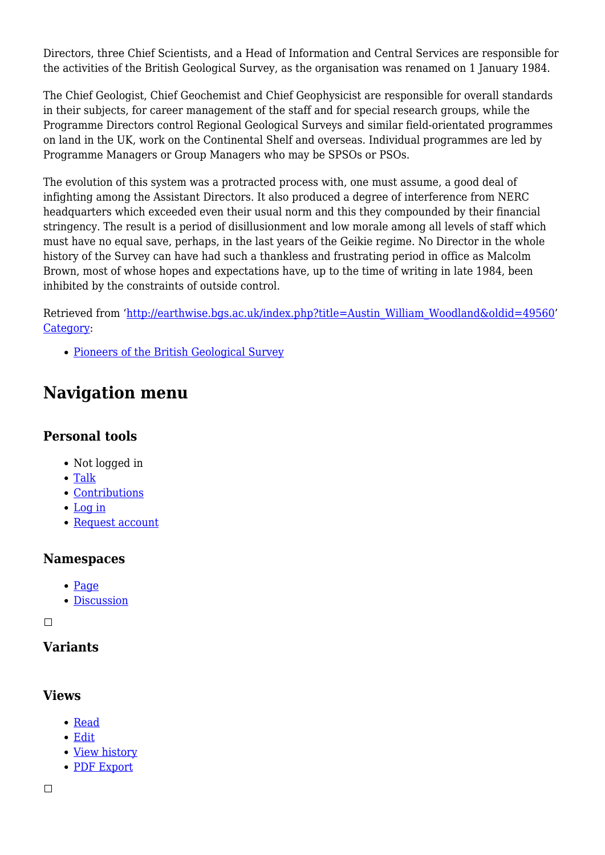Directors, three Chief Scientists, and a Head of Information and Central Services are responsible for the activities of the British Geological Survey, as the organisation was renamed on 1 January 1984.

The Chief Geologist, Chief Geochemist and Chief Geophysicist are responsible for overall standards in their subjects, for career management of the staff and for special research groups, while the Programme Directors control Regional Geological Surveys and similar field-orientated programmes on land in the UK, work on the Continental Shelf and overseas. Individual programmes are led by Programme Managers or Group Managers who may be SPSOs or PSOs.

The evolution of this system was a protracted process with, one must assume, a good deal of infighting among the Assistant Directors. It also produced a degree of interference from NERC headquarters which exceeded even their usual norm and this they compounded by their financial stringency. The result is a period of disillusionment and low morale among all levels of staff which must have no equal save, perhaps, in the last years of the Geikie regime. No Director in the whole history of the Survey can have had such a thankless and frustrating period in office as Malcolm Brown, most of whose hopes and expectations have, up to the time of writing in late 1984, been inhibited by the constraints of outside control.

Retrieved from ['http://earthwise.bgs.ac.uk/index.php?title=Austin\\_William\\_Woodland&oldid=49560](http://earthwise.bgs.ac.uk/index.php?title=Austin_William_Woodland&oldid=49560)' [Category](http://earthwise.bgs.ac.uk/index.php/Special:Categories):

[Pioneers of the British Geological Survey](http://earthwise.bgs.ac.uk/index.php/Category:Pioneers_of_the_British_Geological_Survey)

# **Navigation menu**

#### **Personal tools**

- Not logged in
- [Talk](http://earthwise.bgs.ac.uk/index.php/Special:MyTalk)
- [Contributions](http://earthwise.bgs.ac.uk/index.php/Special:MyContributions)
- [Log in](http://earthwise.bgs.ac.uk/index.php?title=Special:UserLogin&returnto=Austin+William+Woodland&returntoquery=action%3Dmpdf)
- [Request account](http://earthwise.bgs.ac.uk/index.php/Special:RequestAccount)

#### **Namespaces**

- [Page](http://earthwise.bgs.ac.uk/index.php/Austin_William_Woodland)
- [Discussion](http://earthwise.bgs.ac.uk/index.php?title=Talk:Austin_William_Woodland&action=edit&redlink=1)

 $\overline{\phantom{a}}$ 

# **Variants**

#### **Views**

- [Read](http://earthwise.bgs.ac.uk/index.php/Austin_William_Woodland)
- [Edit](http://earthwise.bgs.ac.uk/index.php?title=Austin_William_Woodland&action=edit)
- [View history](http://earthwise.bgs.ac.uk/index.php?title=Austin_William_Woodland&action=history)
- [PDF Export](http://earthwise.bgs.ac.uk/index.php?title=Austin_William_Woodland&action=mpdf)